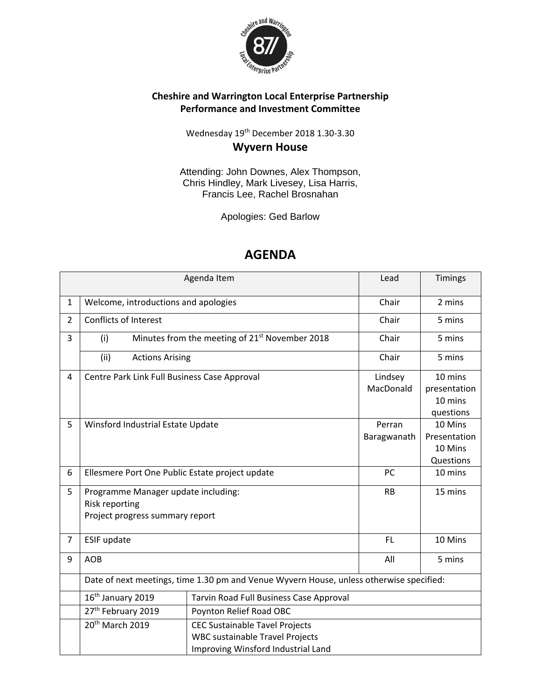

## **Cheshire and Warrington Local Enterprise Partnership Performance and Investment Committee**

Wednesday 19<sup>th</sup> December 2018 1.30-3.30 **Wyvern House**

Attending: John Downes, Alex Thompson, Chris Hindley, Mark Livesey, Lisa Harris, Francis Lee, Rachel Brosnahan

Apologies: Ged Barlow

|                |                                                                                         | Agenda Item                                                | Lead        | Timings      |
|----------------|-----------------------------------------------------------------------------------------|------------------------------------------------------------|-------------|--------------|
| $\mathbf{1}$   | Welcome, introductions and apologies                                                    |                                                            | Chair       | 2 mins       |
| $\overline{2}$ | Conflicts of Interest                                                                   |                                                            | Chair       | 5 mins       |
| 3              | (i)                                                                                     | Minutes from the meeting of 21 <sup>st</sup> November 2018 | Chair       | 5 mins       |
|                | (ii)<br><b>Actions Arising</b>                                                          |                                                            | Chair       | 5 mins       |
| 4              | Centre Park Link Full Business Case Approval                                            |                                                            | Lindsey     | 10 mins      |
|                |                                                                                         |                                                            | MacDonald   | presentation |
|                |                                                                                         |                                                            |             | 10 mins      |
|                |                                                                                         |                                                            |             | questions    |
| 5              | Winsford Industrial Estate Update                                                       |                                                            | Perran      | 10 Mins      |
|                |                                                                                         |                                                            | Baragwanath | Presentation |
|                |                                                                                         |                                                            |             | 10 Mins      |
|                |                                                                                         |                                                            |             | Questions    |
| 6              | Ellesmere Port One Public Estate project update                                         |                                                            | PC          | 10 mins      |
| 5              | Programme Manager update including:                                                     |                                                            | <b>RB</b>   | 15 mins      |
|                | Risk reporting                                                                          |                                                            |             |              |
|                | Project progress summary report                                                         |                                                            |             |              |
|                |                                                                                         |                                                            |             |              |
| 7              | ESIF update                                                                             |                                                            | FL.         | 10 Mins      |
| 9              | <b>AOB</b>                                                                              |                                                            | All         | 5 mins       |
|                | Date of next meetings, time 1.30 pm and Venue Wyvern House, unless otherwise specified: |                                                            |             |              |
|                | 16 <sup>th</sup> January 2019                                                           | Tarvin Road Full Business Case Approval                    |             |              |
|                | 27 <sup>th</sup> February 2019                                                          | Poynton Relief Road OBC                                    |             |              |
|                | 20 <sup>th</sup> March 2019                                                             | <b>CEC Sustainable Tavel Projects</b>                      |             |              |
|                |                                                                                         | <b>WBC sustainable Travel Projects</b>                     |             |              |
|                |                                                                                         | Improving Winsford Industrial Land                         |             |              |

## **AGENDA**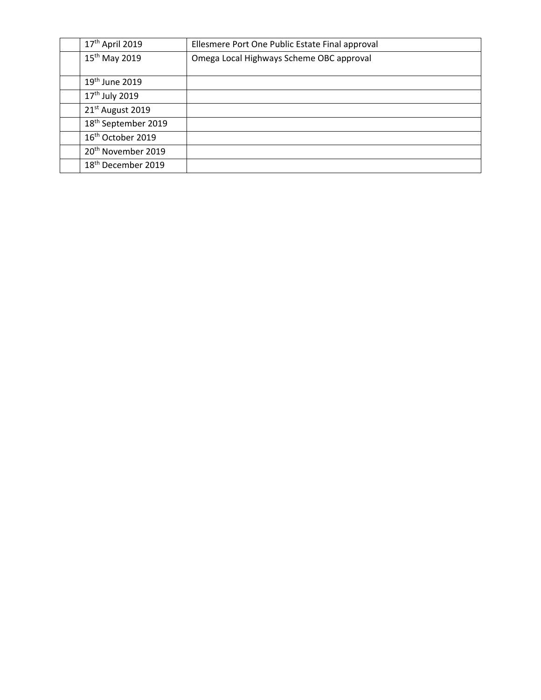| 17 <sup>th</sup> April 2019     | Ellesmere Port One Public Estate Final approval |
|---------------------------------|-------------------------------------------------|
| 15 <sup>th</sup> May 2019       | Omega Local Highways Scheme OBC approval        |
|                                 |                                                 |
| 19th June 2019                  |                                                 |
| 17 <sup>th</sup> July 2019      |                                                 |
| 21st August 2019                |                                                 |
| 18 <sup>th</sup> September 2019 |                                                 |
| 16 <sup>th</sup> October 2019   |                                                 |
| 20 <sup>th</sup> November 2019  |                                                 |
| 18 <sup>th</sup> December 2019  |                                                 |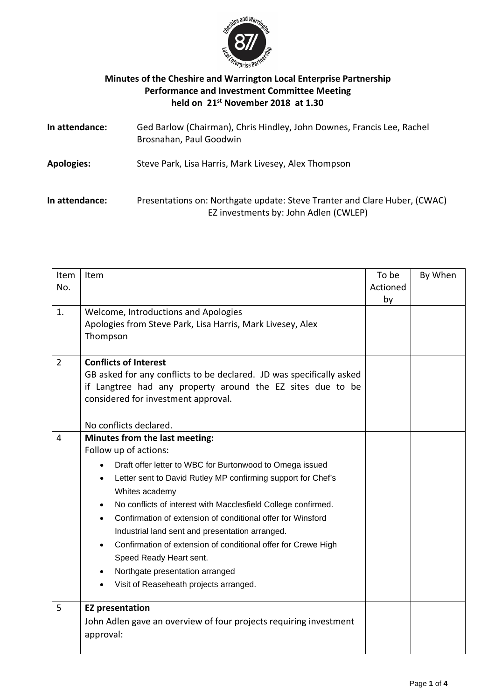

## **Minutes of the Cheshire and Warrington Local Enterprise Partnership Performance and Investment Committee Meeting held on 21st November 2018 at 1.30**

| In attendance:    | Ged Barlow (Chairman), Chris Hindley, John Downes, Francis Lee, Rachel<br>Brosnahan, Paul Goodwin                  |
|-------------------|--------------------------------------------------------------------------------------------------------------------|
| <b>Apologies:</b> | Steve Park, Lisa Harris, Mark Livesey, Alex Thompson                                                               |
| In attendance:    | Presentations on: Northgate update: Steve Tranter and Clare Huber, (CWAC)<br>EZ investments by: John Adlen (CWLEP) |

| Item<br>No.    | Item                                                                                                                                                                                                                                                                                                                                                                                                                                                                                                                                                                                                                                            | To be<br>Actioned<br>by | By When |
|----------------|-------------------------------------------------------------------------------------------------------------------------------------------------------------------------------------------------------------------------------------------------------------------------------------------------------------------------------------------------------------------------------------------------------------------------------------------------------------------------------------------------------------------------------------------------------------------------------------------------------------------------------------------------|-------------------------|---------|
| 1.             | Welcome, Introductions and Apologies<br>Apologies from Steve Park, Lisa Harris, Mark Livesey, Alex<br>Thompson                                                                                                                                                                                                                                                                                                                                                                                                                                                                                                                                  |                         |         |
| $\overline{2}$ | <b>Conflicts of Interest</b><br>GB asked for any conflicts to be declared. JD was specifically asked<br>if Langtree had any property around the EZ sites due to be<br>considered for investment approval.                                                                                                                                                                                                                                                                                                                                                                                                                                       |                         |         |
| $\overline{4}$ | No conflicts declared.<br>Minutes from the last meeting:<br>Follow up of actions:<br>Draft offer letter to WBC for Burtonwood to Omega issued<br>$\bullet$<br>Letter sent to David Rutley MP confirming support for Chef's<br>$\bullet$<br>Whites academy<br>No conflicts of interest with Macclesfield College confirmed.<br>$\bullet$<br>Confirmation of extension of conditional offer for Winsford<br>$\bullet$<br>Industrial land sent and presentation arranged.<br>Confirmation of extension of conditional offer for Crewe High<br>Speed Ready Heart sent.<br>Northgate presentation arranged<br>Visit of Reaseheath projects arranged. |                         |         |
| 5              | <b>EZ</b> presentation<br>John Adlen gave an overview of four projects requiring investment<br>approval:                                                                                                                                                                                                                                                                                                                                                                                                                                                                                                                                        |                         |         |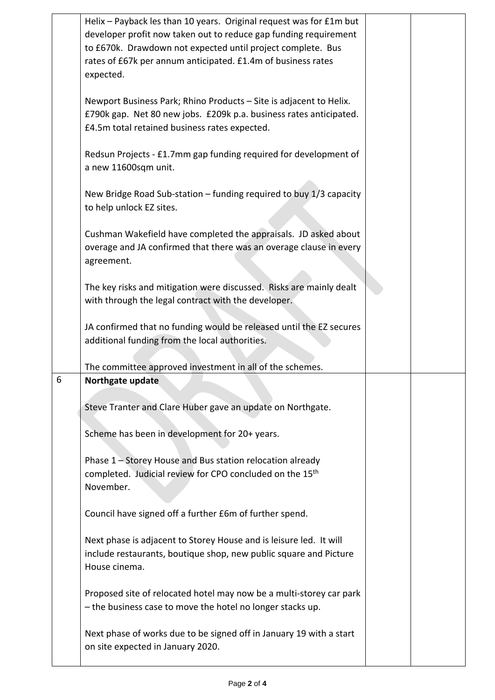|   | Helix - Payback les than 10 years. Original request was for £1m but<br>developer profit now taken out to reduce gap funding requirement<br>to £670k. Drawdown not expected until project complete. Bus<br>rates of £67k per annum anticipated. £1.4m of business rates<br>expected. |  |
|---|-------------------------------------------------------------------------------------------------------------------------------------------------------------------------------------------------------------------------------------------------------------------------------------|--|
|   | Newport Business Park; Rhino Products - Site is adjacent to Helix.<br>£790k gap. Net 80 new jobs. £209k p.a. business rates anticipated.<br>£4.5m total retained business rates expected.                                                                                           |  |
|   | Redsun Projects - £1.7mm gap funding required for development of<br>a new 11600sqm unit.                                                                                                                                                                                            |  |
|   | New Bridge Road Sub-station - funding required to buy 1/3 capacity<br>to help unlock EZ sites.                                                                                                                                                                                      |  |
|   | Cushman Wakefield have completed the appraisals. JD asked about<br>overage and JA confirmed that there was an overage clause in every<br>agreement.                                                                                                                                 |  |
|   | The key risks and mitigation were discussed. Risks are mainly dealt<br>with through the legal contract with the developer.                                                                                                                                                          |  |
|   | JA confirmed that no funding would be released until the EZ secures<br>additional funding from the local authorities.                                                                                                                                                               |  |
| 6 | The committee approved investment in all of the schemes.<br>Northgate update                                                                                                                                                                                                        |  |
|   |                                                                                                                                                                                                                                                                                     |  |
|   | Steve Tranter and Clare Huber gave an update on Northgate.                                                                                                                                                                                                                          |  |
|   | Scheme has been in development for 20+ years.                                                                                                                                                                                                                                       |  |
|   | Phase 1 - Storey House and Bus station relocation already<br>completed. Judicial review for CPO concluded on the 15th<br>November.                                                                                                                                                  |  |
|   | Council have signed off a further £6m of further spend.                                                                                                                                                                                                                             |  |
|   | Next phase is adjacent to Storey House and is leisure led. It will<br>include restaurants, boutique shop, new public square and Picture<br>House cinema.                                                                                                                            |  |
|   | Proposed site of relocated hotel may now be a multi-storey car park<br>- the business case to move the hotel no longer stacks up.                                                                                                                                                   |  |
|   | Next phase of works due to be signed off in January 19 with a start<br>on site expected in January 2020.                                                                                                                                                                            |  |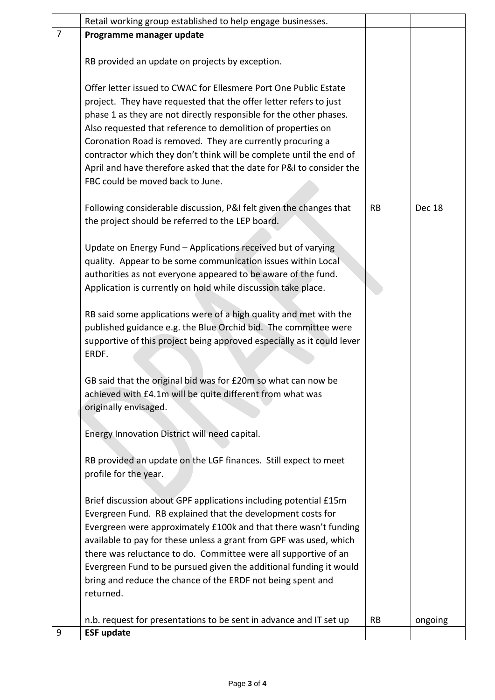|                | Retail working group established to help engage businesses.            |           |         |
|----------------|------------------------------------------------------------------------|-----------|---------|
| $\overline{7}$ | Programme manager update                                               |           |         |
|                |                                                                        |           |         |
|                | RB provided an update on projects by exception.                        |           |         |
|                |                                                                        |           |         |
|                | Offer letter issued to CWAC for Ellesmere Port One Public Estate       |           |         |
|                | project. They have requested that the offer letter refers to just      |           |         |
|                | phase 1 as they are not directly responsible for the other phases.     |           |         |
|                | Also requested that reference to demolition of properties on           |           |         |
|                | Coronation Road is removed. They are currently procuring a             |           |         |
|                | contractor which they don't think will be complete until the end of    |           |         |
|                | April and have therefore asked that the date for P&I to consider the   |           |         |
|                | FBC could be moved back to June.                                       |           |         |
|                | Following considerable discussion, P&I felt given the changes that     | <b>RB</b> | Dec 18  |
|                | the project should be referred to the LEP board.                       |           |         |
|                |                                                                        |           |         |
|                | Update on Energy Fund - Applications received but of varying           |           |         |
|                | quality. Appear to be some communication issues within Local           |           |         |
|                | authorities as not everyone appeared to be aware of the fund.          |           |         |
|                | Application is currently on hold while discussion take place.          |           |         |
|                |                                                                        |           |         |
|                | RB said some applications were of a high quality and met with the      |           |         |
|                | published guidance e.g. the Blue Orchid bid. The committee were        |           |         |
|                | supportive of this project being approved especially as it could lever |           |         |
|                | ERDF.                                                                  |           |         |
|                |                                                                        |           |         |
|                | GB said that the original bid was for £20m so what can now be          |           |         |
|                | achieved with £4.1m will be quite different from what was              |           |         |
|                | originally envisaged.                                                  |           |         |
|                |                                                                        |           |         |
|                | Energy Innovation District will need capital.                          |           |         |
|                |                                                                        |           |         |
|                | RB provided an update on the LGF finances. Still expect to meet        |           |         |
|                | profile for the year.                                                  |           |         |
|                |                                                                        |           |         |
|                | Brief discussion about GPF applications including potential £15m       |           |         |
|                | Evergreen Fund. RB explained that the development costs for            |           |         |
|                | Evergreen were approximately £100k and that there wasn't funding       |           |         |
|                | available to pay for these unless a grant from GPF was used, which     |           |         |
|                | there was reluctance to do. Committee were all supportive of an        |           |         |
|                | Evergreen Fund to be pursued given the additional funding it would     |           |         |
|                | bring and reduce the chance of the ERDF not being spent and            |           |         |
|                | returned.                                                              |           |         |
|                | n.b. request for presentations to be sent in advance and IT set up     | <b>RB</b> | ongoing |
| 9              | <b>ESF update</b>                                                      |           |         |
|                |                                                                        |           |         |